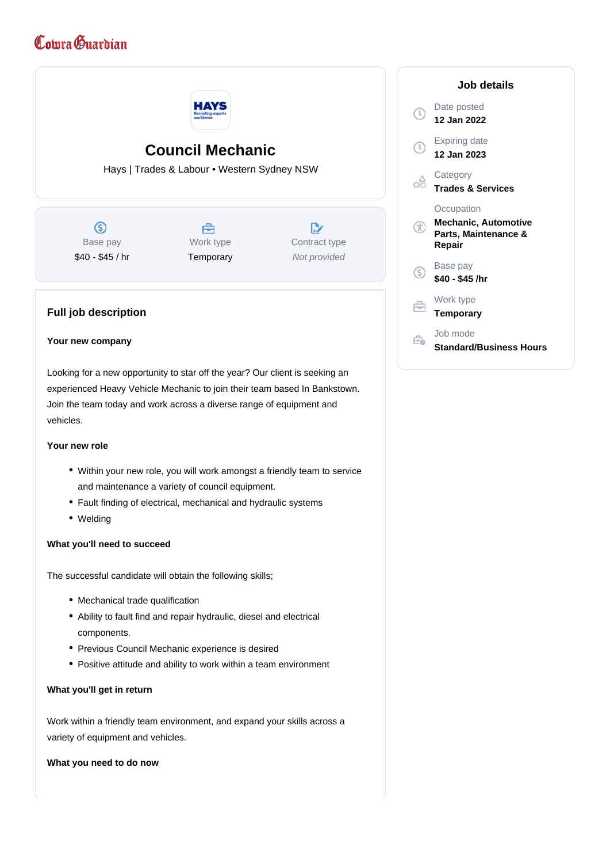# Comra Guardian



# **Council Mechanic**

Hays | Trades & Labour • Western Sydney NSW

 $\circledS$ Base pay \$40 - \$45 / hr

## 畠 Work type **Temporary**

 $\mathbb{R}^{\cdot}$ Contract type Not provided

## **Full job description**

#### **Your new company**

Looking for a new opportunity to star off the year? Our client is seeking an experienced Heavy Vehicle Mechanic to join their team based In Bankstown. Join the team today and work across a diverse range of equipment and vehicles.

#### **Your new role**

- Within your new role, you will work amongst a friendly team to service and maintenance a variety of council equipment.
- Fault finding of electrical, mechanical and hydraulic systems
- Welding

#### **What you'll need to succeed**

The successful candidate will obtain the following skills;

- Mechanical trade qualification
- Ability to fault find and repair hydraulic, diesel and electrical components.
- Previous Council Mechanic experience is desired
- Positive attitude and ability to work within a team environment

#### **What you'll get in return**

Work within a friendly team environment, and expand your skills across a variety of equipment and vehicles.

**What you need to do now**

| Job details                                                          |
|----------------------------------------------------------------------|
| Date posted<br>12 Jan 2022                                           |
| <b>Expiring date</b><br>12 Jan 2023                                  |
| Category<br><b>Trades &amp; Services</b>                             |
| Occupation<br>Mechanic, Automotive<br>Parts, Maintenance &<br>Repair |
| Base pay<br>\$40 - \$45 /hr                                          |
| Work type<br><b>Temporary</b>                                        |
| Job mode<br><b>Standard/Business Hours</b>                           |